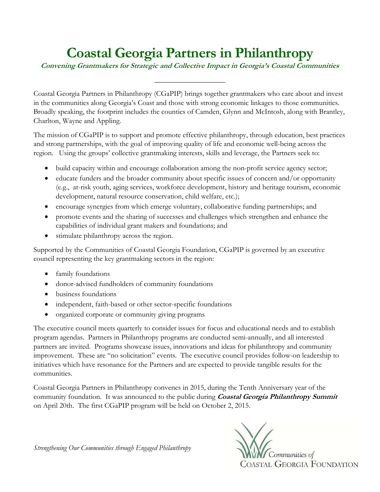## **Coastal Georgia Partners in Philanthropy**

**Convening Grantmakers for Strategic and Collective Impact in Georgia's Coastal Communities**

\_\_\_\_\_\_\_\_\_\_\_\_\_\_\_\_\_\_\_

Coastal Georgia Partners in Philanthropy (CGaPIP) brings together grantmakers who care about and invest in the communities along Georgia's Coast and those with strong economic linkages to those communities. Broadly speaking, the footprint includes the counties of Camden, Glynn and McIntosh, along with Brantley, Charlton, Wayne and Appling.

The mission of CGaPIP is to support and promote effective philanthropy, through education, best practices and strong partnerships, with the goal of improving quality of life and economic well-being across the region. Using the groups' collective grantmaking interests, skills and leverage, the Partners seek to:

- build capacity within and encourage collaboration among the non-profit service agency sector;
- $\bullet$  educate funders and the broader community about specific issues of concern and/or opportunity (e.g., at-risk youth, aging services, workforce development, history and heritage tourism, economic development, natural resource conservation, child welfare, etc.);
- encourage synergies from which emerge voluntary, collaborative funding partnerships; and
- promote events and the sharing of successes and challenges which strengthen and enhance the capabilities of individual grant makers and foundations; and
- stimulate philanthropy across the region.

Supported by the Communities of Coastal Georgia Foundation, CGaPIP is governed by an executive council representing the key grantmaking sectors in the region:

- family foundations
- donor-advised fundholders of community foundations
- business foundations
- independent, faith-based or other sector-specific foundations
- organized corporate or community giving programs

The executive council meets quarterly to consider issues for focus and educational needs and to establish program agendas. Partners in Philanthropy programs are conducted semi-annually, and all interested partners are invited. Programs showcase issues, innovations and ideas for philanthropy and community improvement. These are "no solicitation" events. The executive council provides follow-on leadership to initiatives which have resonance for the Partners and are expected to provide tangible results for the communities.

Coastal Georgia Partners in Philanthropy convenes in 2015, during the Tenth Anniversary year of the community foundation. It was announced to the public during **Coastal Georgia Philanthropy Summit** on April 20th. The first CGaPIP program will be held on October 2, 2015.

*Strengthening Our Communities through Engaged Philanthropy*